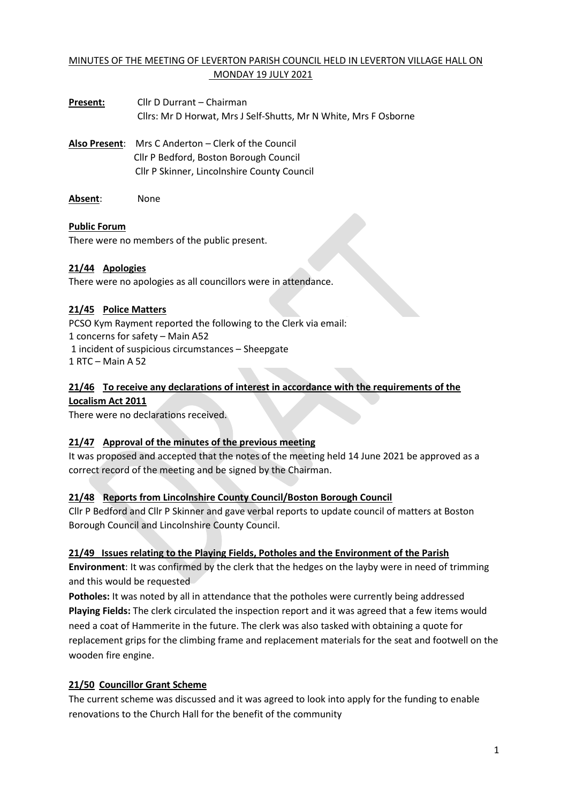# MINUTES OF THE MEETING OF LEVERTON PARISH COUNCIL HELD IN LEVERTON VILLAGE HALL ON MONDAY 19 JULY 2021

- **Present:** Cllr D Durrant Chairman Cllrs: Mr D Horwat, Mrs J Self-Shutts, Mr N White, Mrs F Osborne
- **Also Present**: Mrs C Anderton Clerk of the Council Cllr P Bedford, Boston Borough Council Cllr P Skinner, Lincolnshire County Council
- **Absent**: None

### **Public Forum**

There were no members of the public present.

## **21/44 Apologies**

There were no apologies as all councillors were in attendance.

### **21/45 Police Matters**

PCSO Kym Rayment reported the following to the Clerk via email: 1 concerns for safety – Main A52 1 incident of suspicious circumstances – Sheepgate 1 RTC – Main A 52

### **21/46 To receive any declarations of interest in accordance with the requirements of the Localism Act 2011**

There were no declarations received.

## **21/47 Approval of the minutes of the previous meeting**

It was proposed and accepted that the notes of the meeting held 14 June 2021 be approved as a correct record of the meeting and be signed by the Chairman.

#### **21/48 Reports from Lincolnshire County Council/Boston Borough Council**

Cllr P Bedford and Cllr P Skinner and gave verbal reports to update council of matters at Boston Borough Council and Lincolnshire County Council.

#### **21/49 Issues relating to the Playing Fields, Potholes and the Environment of the Parish**

**Environment**: It was confirmed by the clerk that the hedges on the layby were in need of trimming and this would be requested

**Potholes:** It was noted by all in attendance that the potholes were currently being addressed **Playing Fields:** The clerk circulated the inspection report and it was agreed that a few items would need a coat of Hammerite in the future. The clerk was also tasked with obtaining a quote for replacement grips for the climbing frame and replacement materials for the seat and footwell on the wooden fire engine.

## **21/50 Councillor Grant Scheme**

The current scheme was discussed and it was agreed to look into apply for the funding to enable renovations to the Church Hall for the benefit of the community